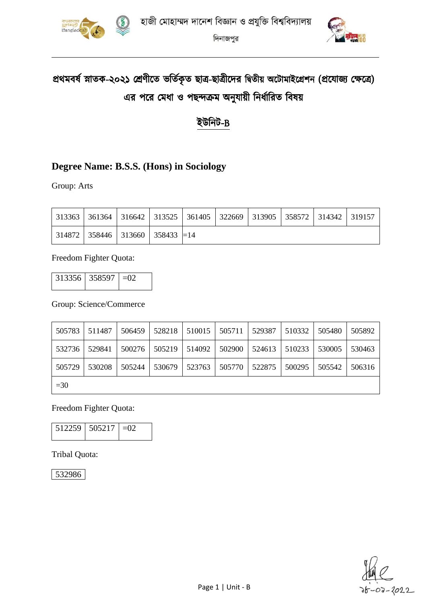



# প্রথমবর্ষ স্নাতক-২০২১ শ্রেণীতে ভর্তিকৃত ছাত্র-ছাত্রীদের দ্বিতীয় অটোমাইগ্রেশন (প্রযোজ্য ক্ষেত্রে) এর পরে মেধা ও পছন্দক্রম অনুযায়ী নির্ধারিত বিষয়

### ইউনিট-B

### **Degree Name: B.S.S. (Hons) in Sociology**

Group: Arts

|  |                                               |  | 313363   361364   316642   313525   361405   322669   313905   358572   314342   319157 |  |  |
|--|-----------------------------------------------|--|-----------------------------------------------------------------------------------------|--|--|
|  | 314872   358446   313660   358433 $\equiv$ 14 |  |                                                                                         |  |  |

Freedom Fighter Quota:

| $313356$   358597   $=02$ |  |
|---------------------------|--|
|                           |  |

Group: Science/Commerce

| 505783 | 511487 | 506459 | 528218 |        | $510015$   $505711$ | 529387 | 510332 | 505480 | 505892 |
|--------|--------|--------|--------|--------|---------------------|--------|--------|--------|--------|
| 532736 | 529841 | 500276 | 505219 | 514092 | 502900              | 524613 | 510233 | 530005 | 530463 |
| 505729 | 530208 | 505244 | 530679 | 523763 | 505770              | 522875 | 500295 | 505542 | 506316 |
| $=30$  |        |        |        |        |                     |        |        |        |        |

Freedom Fighter Quota:

| 512259 505217 | $1 - (1)$ |
|---------------|-----------|
|               |           |

Tribal Quota:

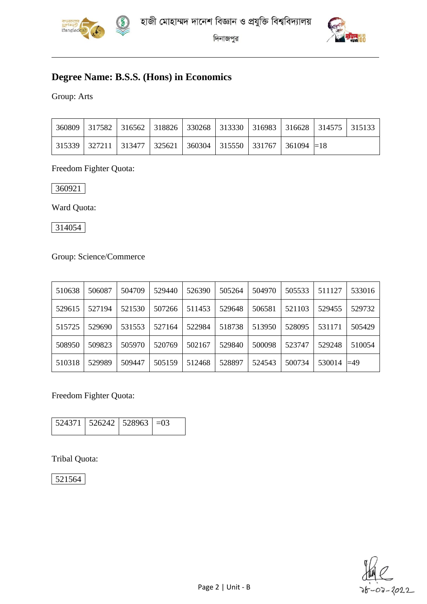



### **Degree Name: B.S.S. (Hons) in Economics**

Group: Arts

|  |  |  | 360809   317582   316562   318826   330268   313330   316983   316628   314575   315133 |  |
|--|--|--|-----------------------------------------------------------------------------------------|--|
|  |  |  | 315339   327211   313477   325621   360304   315550   331767   361094   $=$ 18          |  |

Freedom Fighter Quota:

360921

Ward Quota:

314054

Group: Science/Commerce

| 510638 | 506087 | 504709 | 529440 | 526390 | 505264 | 504970 | 505533 | 511127 | 533016 |
|--------|--------|--------|--------|--------|--------|--------|--------|--------|--------|
| 529615 | 527194 | 521530 | 507266 | 511453 | 529648 | 506581 | 521103 | 529455 | 529732 |
| 515725 | 529690 | 531553 | 527164 | 522984 | 518738 | 513950 | 528095 | 531171 | 505429 |
| 508950 | 509823 | 505970 | 520769 | 502167 | 529840 | 500098 | 523747 | 529248 | 510054 |
| 510318 | 529989 | 509447 | 505159 | 512468 | 528897 | 524543 | 500734 | 530014 | ⊨49    |

Freedom Fighter Quota:

| $\vert$ 524371   526242   528963   $=$ 03 |  |
|-------------------------------------------|--|
|                                           |  |

Tribal Quota:

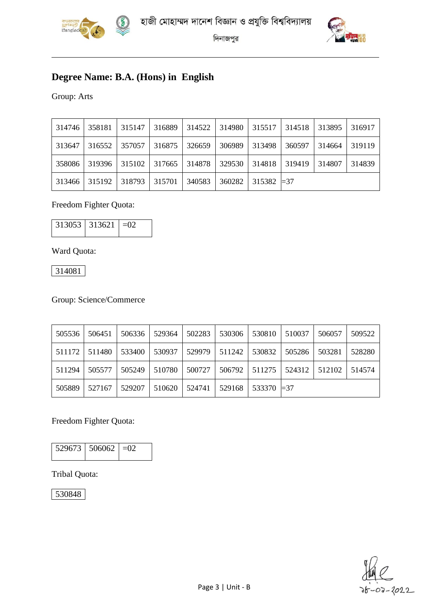



### **Degree Name: B.A. (Hons) in English**

Group: Arts

| 314746 | 358181 | 315147 | 316889 | 314522 | 314980 | 315517              | 314518 | 313895 | 316917 |
|--------|--------|--------|--------|--------|--------|---------------------|--------|--------|--------|
| 313647 | 316552 | 357057 | 316875 | 326659 | 306989 | 313498              | 360597 | 314664 | 319119 |
| 358086 | 319396 | 315102 | 317665 | 314878 | 329530 | 314818              | 319419 | 314807 | 314839 |
| 313466 | 315192 | 318793 | 315701 | 340583 | 360282 | $315382 \models 37$ |        |        |        |

#### Freedom Fighter Quota:

|  | $313053$   313621   $=02$ |  |
|--|---------------------------|--|
|--|---------------------------|--|

Ward Quota:

314081

Group: Science/Commerce

| 505536 | 506451 | 506336 | 529364 | 502283 | 530306 | 530810          | 510037            | 506057 | 509522 |
|--------|--------|--------|--------|--------|--------|-----------------|-------------------|--------|--------|
| 511172 | 511480 | 533400 | 530937 | 529979 | 511242 | 530832          | 505286            | 503281 | 528280 |
| 511294 | 505577 | 505249 | 510780 | 500727 |        | 506792   511275 | $524312$   512102 |        | 514574 |
| 505889 | 527167 | 529207 | 510620 | 524741 | 529168 | $533370 = 37$   |                   |        |        |

#### Freedom Fighter Quota:

| $529673$ 506062 = 02 |  |
|----------------------|--|

#### Tribal Quota:

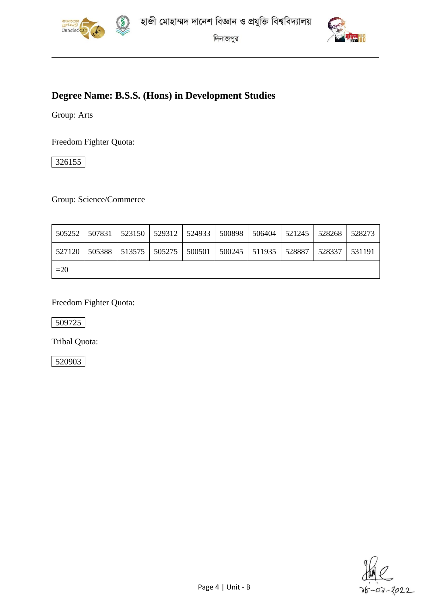



### **Degree Name: B.S.S. (Hons) in Development Studies**

Group: Arts

Freedom Fighter Quota:

326155

Group: Science/Commerce

|       | 505252   507831   523150   529312   524933   500898   506404   521245   528268   528273 |  |  |  |  |
|-------|-----------------------------------------------------------------------------------------|--|--|--|--|
|       | 527120   505388   513575   505275   500501   500245   511935   528887   528337   531191 |  |  |  |  |
| $=20$ |                                                                                         |  |  |  |  |

Freedom Fighter Quota:

509725

Tribal Quota: